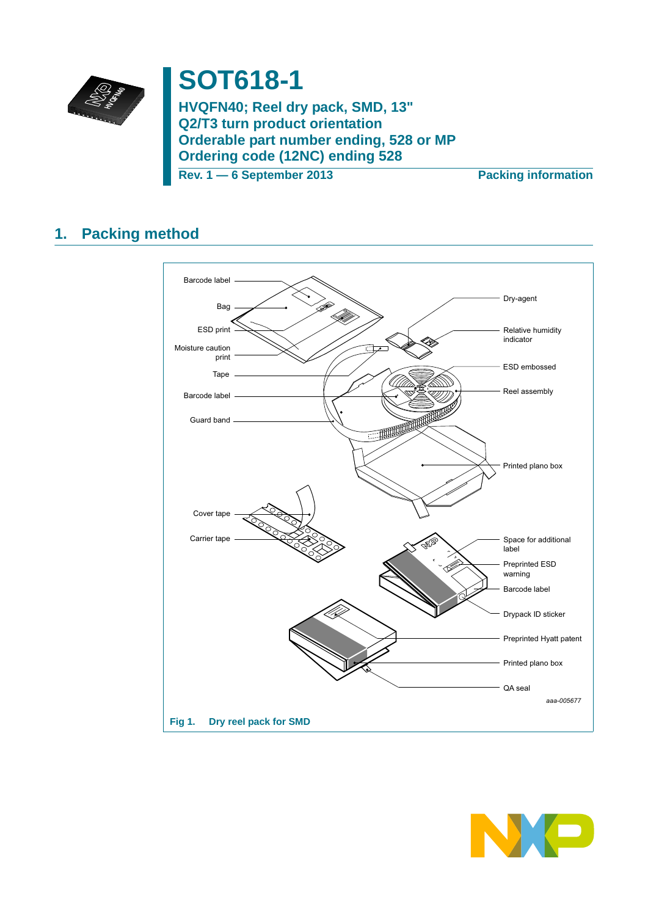

# **SOT618-1**

**HVQFN40; Reel dry pack, SMD, 13" Q2/T3 turn product orientation Orderable part number ending, 528 or MP Ordering code (12NC) ending 528**

**Rev. 1 — 6 September 2013 Packing information**

## **1. Packing method**



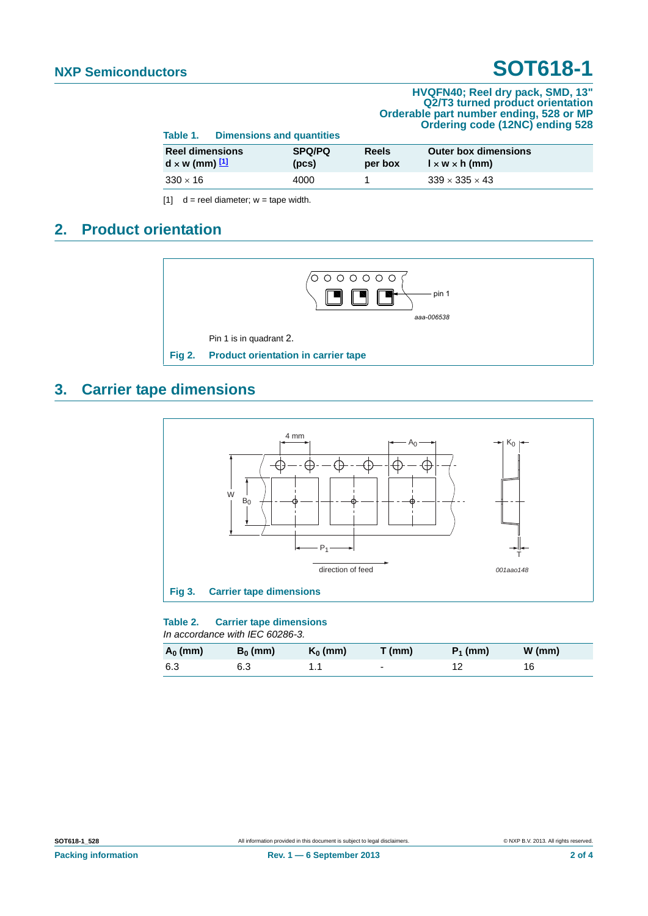## **NXP Semiconductors SOT618-1**

#### **HVQFN40; Reel dry pack, SMD, 13" Q2/T3 turned product orientation Orderable part number ending, 528 or MP Ordering code (12NC) ending 528**

| Table 1.                                        | <b>Dimensions and quantities</b> |                        |                         |                                                           |  |  |
|-------------------------------------------------|----------------------------------|------------------------|-------------------------|-----------------------------------------------------------|--|--|
| <b>Reel dimensions</b><br>$d \times w$ (mm) $1$ |                                  | <b>SPQ/PQ</b><br>(pcs) | <b>Reels</b><br>per box | <b>Outer box dimensions</b><br>$1 \times w \times h$ (mm) |  |  |
| $330 \times 16$                                 |                                  | 4000                   |                         | $339 \times 335 \times 43$                                |  |  |

<span id="page-1-0"></span> $[1]$  d = reel diameter; w = tape width.

## **2. Product orientation**



### **3. Carrier tape dimensions**



### **Table 2. Carrier tape dimensions**

*In accordance with IEC 60286-3.*

| $A_0$ (mm) | $B_0$ (mm) | $K_0$ (mm) | $T$ (mm) | $P_1$ (mm) | $W$ (mm) |
|------------|------------|------------|----------|------------|----------|
| 6.3        | 6.3        |            | $\sim$   |            | 16       |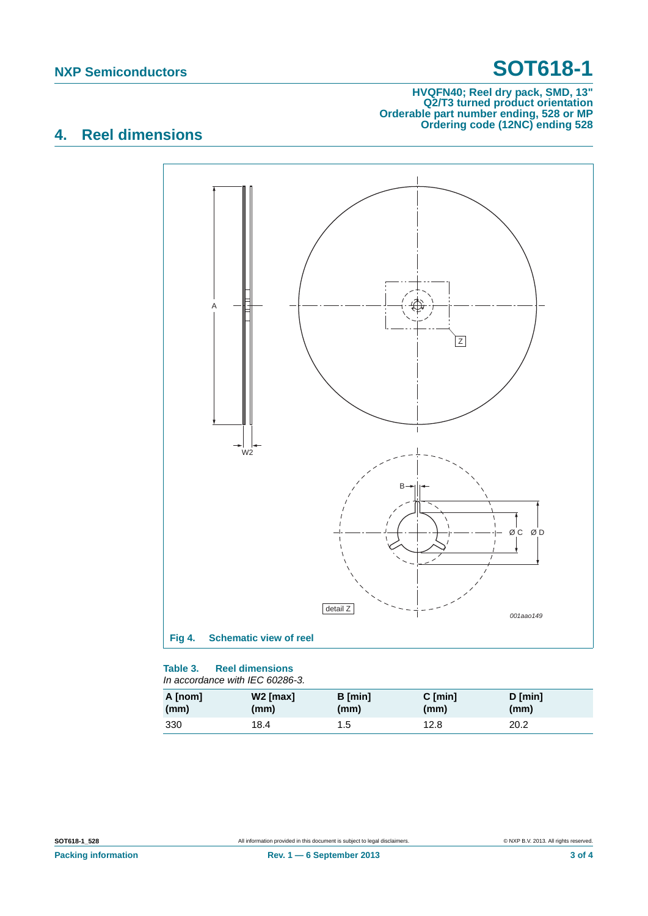## **NXP Semiconductors SOT618-1**

#### **HVQFN40; Reel dry pack, SMD, 13" Q2/T3 turned product orientation Orderable part number ending, 528 or MP Ordering code (12NC) ending 528**

## **4. Reel dimensions**



#### **Table 3. Reel dimensions** *In accordance with IEC 60286-3.*

| A [nom] | W <sub>2</sub> [max] | <b>B</b> [min] | $C$ [min] | $D$ [min] |
|---------|----------------------|----------------|-----------|-----------|
| (mm)    | (mm)                 | (mm)           | (mm)      | (mm)      |
| 330     | 18.4                 | 1.5            | 12.8      | 20.2      |